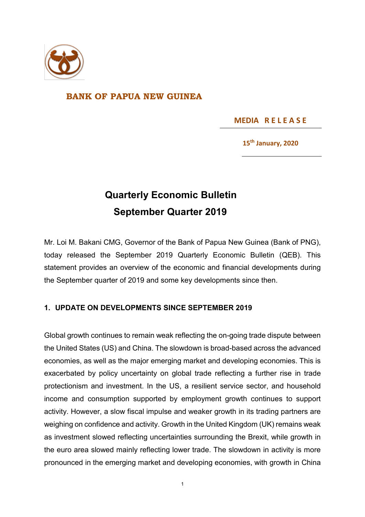

## **BANK OF PAPUA NEW GUINEA**

 **MEDIA R E L E A S E** 

**15th January, 2020**

## **Quarterly Economic Bulletin September Quarter 2019**

Mr. Loi M. Bakani CMG, Governor of the Bank of Papua New Guinea (Bank of PNG), today released the September 2019 Quarterly Economic Bulletin (QEB). This statement provides an overview of the economic and financial developments during the September quarter of 2019 and some key developments since then.

## **1. UPDATE ON DEVELOPMENTS SINCE SEPTEMBER 2019**

Global growth continues to remain weak reflecting the on-going trade dispute between the United States (US) and China. The slowdown is broad-based across the advanced economies, as well as the major emerging market and developing economies. This is exacerbated by policy uncertainty on global trade reflecting a further rise in trade protectionism and investment. In the US, a resilient service sector, and household income and consumption supported by employment growth continues to support activity. However, a slow fiscal impulse and weaker growth in its trading partners are weighing on confidence and activity. Growth in the United Kingdom (UK) remains weak as investment slowed reflecting uncertainties surrounding the Brexit, while growth in the euro area slowed mainly reflecting lower trade. The slowdown in activity is more pronounced in the emerging market and developing economies, with growth in China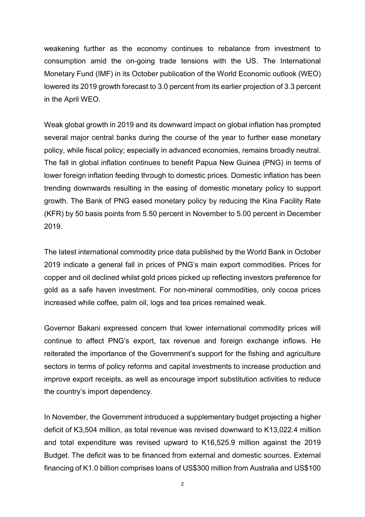weakening further as the economy continues to rebalance from investment to consumption amid the on-going trade tensions with the US. The International Monetary Fund (IMF) in its October publication of the World Economic outlook (WEO) lowered its 2019 growth forecast to 3.0 percent from its earlier projection of 3.3 percent in the April WEO.

Weak global growth in 2019 and its downward impact on global inflation has prompted several major central banks during the course of the year to further ease monetary policy, while fiscal policy; especially in advanced economies, remains broadly neutral. The fall in global inflation continues to benefit Papua New Guinea (PNG) in terms of lower foreign inflation feeding through to domestic prices. Domestic inflation has been trending downwards resulting in the easing of domestic monetary policy to support growth. The Bank of PNG eased monetary policy by reducing the Kina Facility Rate (KFR) by 50 basis points from 5.50 percent in November to 5.00 percent in December 2019.

The latest international commodity price data published by the World Bank in October 2019 indicate a general fall in prices of PNG's main export commodities. Prices for copper and oil declined whilst gold prices picked up reflecting investors preference for gold as a safe haven investment. For non-mineral commodities, only cocoa prices increased while coffee, palm oil, logs and tea prices remained weak.

Governor Bakani expressed concern that lower international commodity prices will continue to affect PNG's export, tax revenue and foreign exchange inflows. He reiterated the importance of the Government's support for the fishing and agriculture sectors in terms of policy reforms and capital investments to increase production and improve export receipts, as well as encourage import substitution activities to reduce the country's import dependency.

In November, the Government introduced a supplementary budget projecting a higher deficit of K3,504 million, as total revenue was revised downward to K13,022.4 million and total expenditure was revised upward to K16,525.9 million against the 2019 Budget. The deficit was to be financed from external and domestic sources. External financing of K1.0 billion comprises loans of US\$300 million from Australia and US\$100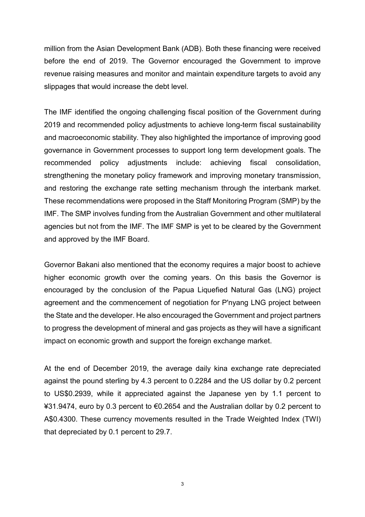million from the Asian Development Bank (ADB). Both these financing were received before the end of 2019. The Governor encouraged the Government to improve revenue raising measures and monitor and maintain expenditure targets to avoid any slippages that would increase the debt level.

The IMF identified the ongoing challenging fiscal position of the Government during 2019 and recommended policy adjustments to achieve long-term fiscal sustainability and macroeconomic stability. They also highlighted the importance of improving good governance in Government processes to support long term development goals. The recommended policy adjustments include: achieving fiscal consolidation, strengthening the monetary policy framework and improving monetary transmission, and restoring the exchange rate setting mechanism through the interbank market. These recommendations were proposed in the Staff Monitoring Program (SMP) by the IMF. The SMP involves funding from the Australian Government and other multilateral agencies but not from the IMF. The IMF SMP is yet to be cleared by the Government and approved by the IMF Board.

Governor Bakani also mentioned that the economy requires a major boost to achieve higher economic growth over the coming years. On this basis the Governor is encouraged by the conclusion of the Papua Liquefied Natural Gas (LNG) project agreement and the commencement of negotiation for P'nyang LNG project between the State and the developer. He also encouraged the Government and project partners to progress the development of mineral and gas projects as they will have a significant impact on economic growth and support the foreign exchange market.

At the end of December 2019, the average daily kina exchange rate depreciated against the pound sterling by 4.3 percent to 0.2284 and the US dollar by 0.2 percent to US\$0.2939, while it appreciated against the Japanese yen by 1.1 percent to ¥31.9474, euro by 0.3 percent to €0.2654 and the Australian dollar by 0.2 percent to A\$0.4300. These currency movements resulted in the Trade Weighted Index (TWI) that depreciated by 0.1 percent to 29.7.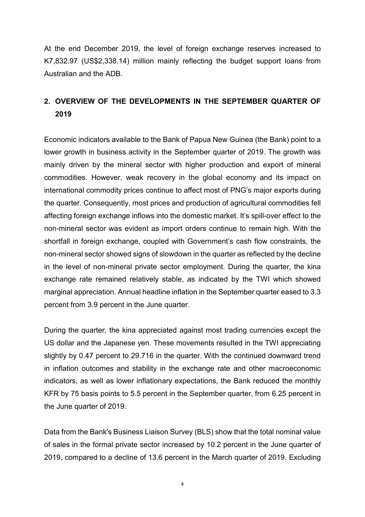At the end December 2019, the level of foreign exchange reserves increased to K7,832.97 (US\$2,338.14) million mainly reflecting the budget support loans from Australian and the ADB.

## **2. OVERVIEW OF THE DEVELOPMENTS IN THE SEPTEMBER QUARTER OF 2019**

Economic indicators available to the Bank of Papua New Guinea (the Bank) point to a lower growth in business activity in the September quarter of 2019. The growth was mainly driven by the mineral sector with higher production and export of mineral commodities. However, weak recovery in the global economy and its impact on international commodity prices continue to affect most of PNG's major exports during the quarter. Consequently, most prices and production of agricultural commodities fell affecting foreign exchange inflows into the domestic market. It's spill-over effect to the non-mineral sector was evident as import orders continue to remain high. With the shortfall in foreign exchange, coupled with Government's cash flow constraints, the non-mineral sector showed signs of slowdown in the quarter as reflected by the decline in the level of non-mineral private sector employment. During the quarter, the kina exchange rate remained relatively stable, as indicated by the TWI which showed marginal appreciation. Annual headline inflation in the September quarter eased to 3.3 percent from 3.9 percent in the June quarter.

During the quarter, the kina appreciated against most trading currencies except the US dollar and the Japanese yen. These movements resulted in the TWI appreciating slightly by 0.47 percent to 29.716 in the quarter. With the continued downward trend in inflation outcomes and stability in the exchange rate and other macroeconomic indicators, as well as lower inflationary expectations, the Bank reduced the monthly KFR by 75 basis points to 5.5 percent in the September quarter, from 6.25 percent in the June quarter of 2019.

Data from the Bank's Business Liaison Survey (BLS) show that the total nominal value of sales in the formal private sector increased by 10.2 percent in the June quarter of 2019, compared to a decline of 13.6 percent in the March quarter of 2019. Excluding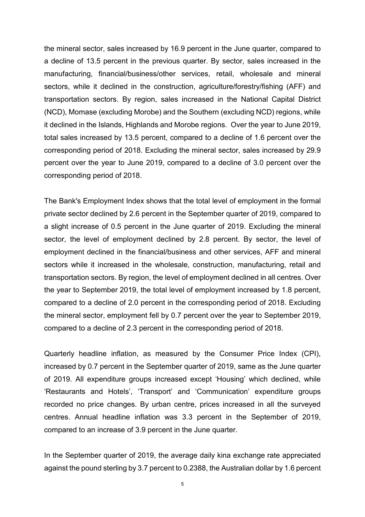the mineral sector, sales increased by 16.9 percent in the June quarter, compared to a decline of 13.5 percent in the previous quarter. By sector, sales increased in the manufacturing, financial/business/other services, retail, wholesale and mineral sectors, while it declined in the construction, agriculture/forestry/fishing (AFF) and transportation sectors. By region, sales increased in the National Capital District (NCD), Momase (excluding Morobe) and the Southern (excluding NCD) regions, while it declined in the Islands, Highlands and Morobe regions. Over the year to June 2019, total sales increased by 13.5 percent, compared to a decline of 1.6 percent over the corresponding period of 2018. Excluding the mineral sector, sales increased by 29.9 percent over the year to June 2019, compared to a decline of 3.0 percent over the corresponding period of 2018.

The Bank's Employment Index shows that the total level of employment in the formal private sector declined by 2.6 percent in the September quarter of 2019, compared to a slight increase of 0.5 percent in the June quarter of 2019. Excluding the mineral sector, the level of employment declined by 2.8 percent. By sector, the level of employment declined in the financial/business and other services, AFF and mineral sectors while it increased in the wholesale, construction, manufacturing, retail and transportation sectors. By region, the level of employment declined in all centres. Over the year to September 2019, the total level of employment increased by 1.8 percent, compared to a decline of 2.0 percent in the corresponding period of 2018. Excluding the mineral sector, employment fell by 0.7 percent over the year to September 2019, compared to a decline of 2.3 percent in the corresponding period of 2018.

Quarterly headline inflation, as measured by the Consumer Price Index (CPI), increased by 0.7 percent in the September quarter of 2019, same as the June quarter of 2019. All expenditure groups increased except 'Housing' which declined, while 'Restaurants and Hotels', 'Transport' and 'Communication' expenditure groups recorded no price changes. By urban centre, prices increased in all the surveyed centres. Annual headline inflation was 3.3 percent in the September of 2019, compared to an increase of 3.9 percent in the June quarter.

In the September quarter of 2019, the average daily kina exchange rate appreciated against the pound sterling by 3.7 percent to 0.2388, the Australian dollar by 1.6 percent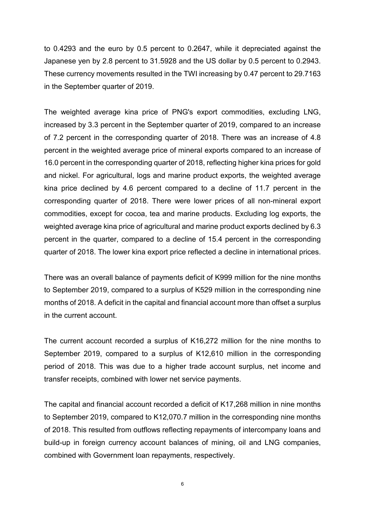to 0.4293 and the euro by 0.5 percent to 0.2647, while it depreciated against the Japanese yen by 2.8 percent to 31.5928 and the US dollar by 0.5 percent to 0.2943. These currency movements resulted in the TWI increasing by 0.47 percent to 29.7163 in the September quarter of 2019.

The weighted average kina price of PNG's export commodities, excluding LNG, increased by 3.3 percent in the September quarter of 2019, compared to an increase of 7.2 percent in the corresponding quarter of 2018. There was an increase of 4.8 percent in the weighted average price of mineral exports compared to an increase of 16.0 percent in the corresponding quarter of 2018, reflecting higher kina prices for gold and nickel. For agricultural, logs and marine product exports, the weighted average kina price declined by 4.6 percent compared to a decline of 11.7 percent in the corresponding quarter of 2018. There were lower prices of all non-mineral export commodities, except for cocoa, tea and marine products. Excluding log exports, the weighted average kina price of agricultural and marine product exports declined by 6.3 percent in the quarter, compared to a decline of 15.4 percent in the corresponding quarter of 2018. The lower kina export price reflected a decline in international prices.

There was an overall balance of payments deficit of K999 million for the nine months to September 2019, compared to a surplus of K529 million in the corresponding nine months of 2018. A deficit in the capital and financial account more than offset a surplus in the current account.

The current account recorded a surplus of K16,272 million for the nine months to September 2019, compared to a surplus of K12,610 million in the corresponding period of 2018. This was due to a higher trade account surplus, net income and transfer receipts, combined with lower net service payments.

The capital and financial account recorded a deficit of K17,268 million in nine months to September 2019, compared to K12,070.7 million in the corresponding nine months of 2018. This resulted from outflows reflecting repayments of intercompany loans and build-up in foreign currency account balances of mining, oil and LNG companies, combined with Government loan repayments, respectively.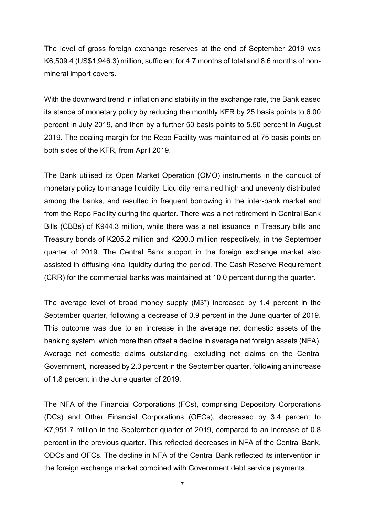The level of gross foreign exchange reserves at the end of September 2019 was K6,509.4 (US\$1,946.3) million, sufficient for 4.7 months of total and 8.6 months of nonmineral import covers.

With the downward trend in inflation and stability in the exchange rate, the Bank eased its stance of monetary policy by reducing the monthly KFR by 25 basis points to 6.00 percent in July 2019, and then by a further 50 basis points to 5.50 percent in August 2019. The dealing margin for the Repo Facility was maintained at 75 basis points on both sides of the KFR, from April 2019.

The Bank utilised its Open Market Operation (OMO) instruments in the conduct of monetary policy to manage liquidity. Liquidity remained high and unevenly distributed among the banks, and resulted in frequent borrowing in the inter-bank market and from the Repo Facility during the quarter. There was a net retirement in Central Bank Bills (CBBs) of K944.3 million, while there was a net issuance in Treasury bills and Treasury bonds of K205.2 million and K200.0 million respectively, in the September quarter of 2019. The Central Bank support in the foreign exchange market also assisted in diffusing kina liquidity during the period. The Cash Reserve Requirement (CRR) for the commercial banks was maintained at 10.0 percent during the quarter.

The average level of broad money supply (M3\*) increased by 1.4 percent in the September quarter, following a decrease of 0.9 percent in the June quarter of 2019. This outcome was due to an increase in the average net domestic assets of the banking system, which more than offset a decline in average net foreign assets (NFA). Average net domestic claims outstanding, excluding net claims on the Central Government, increased by 2.3 percent in the September quarter, following an increase of 1.8 percent in the June quarter of 2019.

The NFA of the Financial Corporations (FCs), comprising Depository Corporations (DCs) and Other Financial Corporations (OFCs), decreased by 3.4 percent to K7,951.7 million in the September quarter of 2019, compared to an increase of 0.8 percent in the previous quarter. This reflected decreases in NFA of the Central Bank, ODCs and OFCs. The decline in NFA of the Central Bank reflected its intervention in the foreign exchange market combined with Government debt service payments.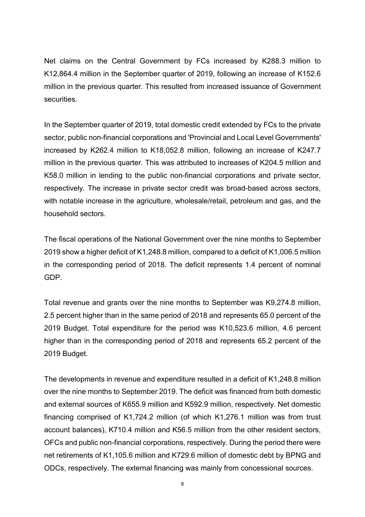Net claims on the Central Government by FCs increased by K288.3 million to K12,864.4 million in the September quarter of 2019, following an increase of K152.6 million in the previous quarter. This resulted from increased issuance of Government **securities** 

In the September quarter of 2019, total domestic credit extended by FCs to the private sector, public non-financial corporations and 'Provincial and Local Level Governments' increased by K262.4 million to K18,052.8 million, following an increase of K247.7 million in the previous quarter. This was attributed to increases of K204.5 million and K58.0 million in lending to the public non-financial corporations and private sector, respectively. The increase in private sector credit was broad-based across sectors, with notable increase in the agriculture, wholesale/retail, petroleum and gas, and the household sectors.

The fiscal operations of the National Government over the nine months to September 2019 show a higher deficit of K1,248.8 million, compared to a deficit of K1,006.5 million in the corresponding period of 2018. The deficit represents 1.4 percent of nominal GDP.

Total revenue and grants over the nine months to September was K9,274.8 million, 2.5 percent higher than in the same period of 2018 and represents 65.0 percent of the 2019 Budget. Total expenditure for the period was K10,523.6 million, 4.6 percent higher than in the corresponding period of 2018 and represents 65.2 percent of the 2019 Budget.

The developments in revenue and expenditure resulted in a deficit of K1,248.8 million over the nine months to September 2019. The deficit was financed from both domestic and external sources of K655.9 million and K592.9 million, respectively. Net domestic financing comprised of K1,724.2 million (of which K1,276.1 million was from trust account balances), K710.4 million and K56.5 million from the other resident sectors, OFCs and public non-financial corporations, respectively. During the period there were net retirements of K1,105.6 million and K729.6 million of domestic debt by BPNG and ODCs, respectively. The external financing was mainly from concessional sources.